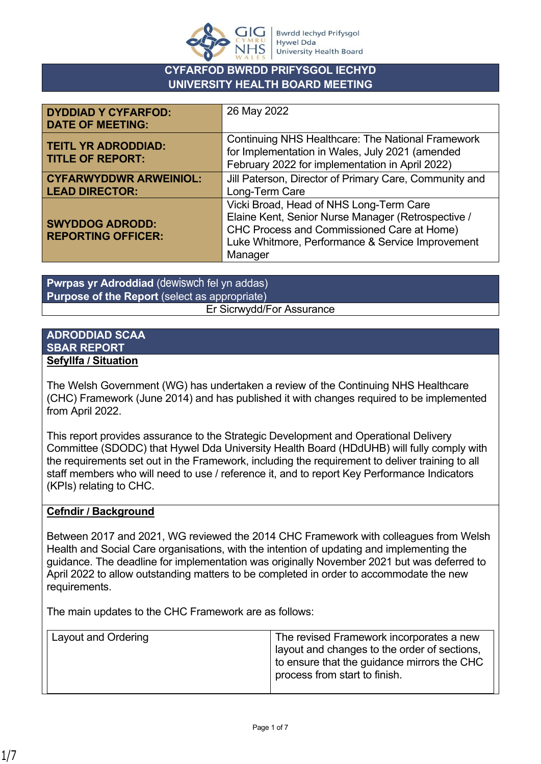

## **CYFARFOD BWRDD PRIFYSGOL IECHYD UNIVERSITY HEALTH BOARD MEETING**

| <b>DYDDIAD Y CYFARFOD:</b><br><b>DATE OF MEETING:</b>  | 26 May 2022                                                                                                                                                                                                       |
|--------------------------------------------------------|-------------------------------------------------------------------------------------------------------------------------------------------------------------------------------------------------------------------|
| <b>TEITL YR ADRODDIAD:</b><br><b>TITLE OF REPORT:</b>  | <b>Continuing NHS Healthcare: The National Framework</b><br>for Implementation in Wales, July 2021 (amended<br>February 2022 for implementation in April 2022)                                                    |
| <b>CYFARWYDDWR ARWEINIOL:</b><br><b>LEAD DIRECTOR:</b> | Jill Paterson, Director of Primary Care, Community and<br>Long-Term Care                                                                                                                                          |
| <b>SWYDDOG ADRODD:</b><br><b>REPORTING OFFICER:</b>    | Vicki Broad, Head of NHS Long-Term Care<br>Elaine Kent, Senior Nurse Manager (Retrospective /<br><b>CHC Process and Commissioned Care at Home)</b><br>Luke Whitmore, Performance & Service Improvement<br>Manager |

**Pwrpas yr Adroddiad** (dewiswch fel yn addas) **Purpose of the Report** (select as appropriate) Er Sicrwydd/For Assurance

#### **ADRODDIAD SCAA SBAR REPORT Sefyllfa / Situation**

The Welsh Government (WG) has undertaken a review of the Continuing NHS Healthcare (CHC) Framework (June 2014) and has published it with changes required to be implemented from April 2022.

This report provides assurance to the Strategic Development and Operational Delivery Committee (SDODC) that Hywel Dda University Health Board (HDdUHB) will fully comply with the requirements set out in the Framework, including the requirement to deliver training to all staff members who will need to use / reference it, and to report Key Performance Indicators (KPIs) relating to CHC.

### **Cefndir / Background**

Between 2017 and 2021, WG reviewed the 2014 CHC Framework with colleagues from Welsh Health and Social Care organisations, with the intention of updating and implementing the guidance. The deadline for implementation was originally November 2021 but was deferred to April 2022 to allow outstanding matters to be completed in order to accommodate the new requirements.

The main updates to the CHC Framework are as follows:

| Layout and Ordering | The revised Framework incorporates a new<br>ayout and changes to the order of sections,<br>to ensure that the guidance mirrors the CHC |
|---------------------|----------------------------------------------------------------------------------------------------------------------------------------|
|                     | process from start to finish.                                                                                                          |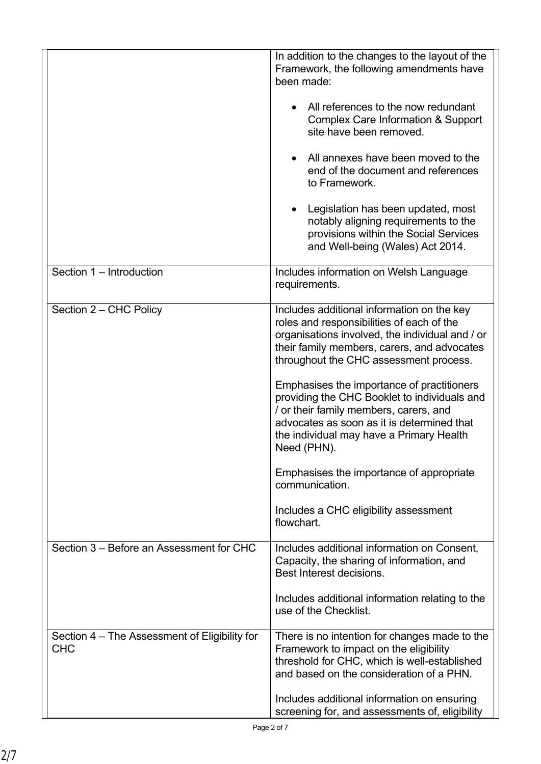|                                                             | In addition to the changes to the layout of the<br>Framework, the following amendments have<br>been made:<br>All references to the now redundant<br><b>Complex Care Information &amp; Support</b><br>site have been removed.<br>All annexes have been moved to the<br>end of the document and references<br>to Framework.<br>Legislation has been updated, most<br>notably aligning requirements to the<br>provisions within the Social Services<br>and Well-being (Wales) Act 2014.                                                                                                                      |
|-------------------------------------------------------------|-----------------------------------------------------------------------------------------------------------------------------------------------------------------------------------------------------------------------------------------------------------------------------------------------------------------------------------------------------------------------------------------------------------------------------------------------------------------------------------------------------------------------------------------------------------------------------------------------------------|
| Section 1 - Introduction                                    | Includes information on Welsh Language<br>requirements.                                                                                                                                                                                                                                                                                                                                                                                                                                                                                                                                                   |
| Section 2 - CHC Policy                                      | Includes additional information on the key<br>roles and responsibilities of each of the<br>organisations involved, the individual and / or<br>their family members, carers, and advocates<br>throughout the CHC assessment process.<br>Emphasises the importance of practitioners<br>providing the CHC Booklet to individuals and<br>/ or their family members, carers, and<br>advocates as soon as it is determined that<br>the individual may have a Primary Health<br>Need (PHN).<br>Emphasises the importance of appropriate<br>communication.<br>Includes a CHC eligibility assessment<br>flowchart. |
| Section 3 – Before an Assessment for CHC                    | Includes additional information on Consent,<br>Capacity, the sharing of information, and<br>Best Interest decisions.<br>Includes additional information relating to the<br>use of the Checklist.                                                                                                                                                                                                                                                                                                                                                                                                          |
| Section 4 – The Assessment of Eligibility for<br><b>CHC</b> | There is no intention for changes made to the<br>Framework to impact on the eligibility<br>threshold for CHC, which is well-established<br>and based on the consideration of a PHN.<br>Includes additional information on ensuring<br>screening for, and assessments of, eligibility                                                                                                                                                                                                                                                                                                                      |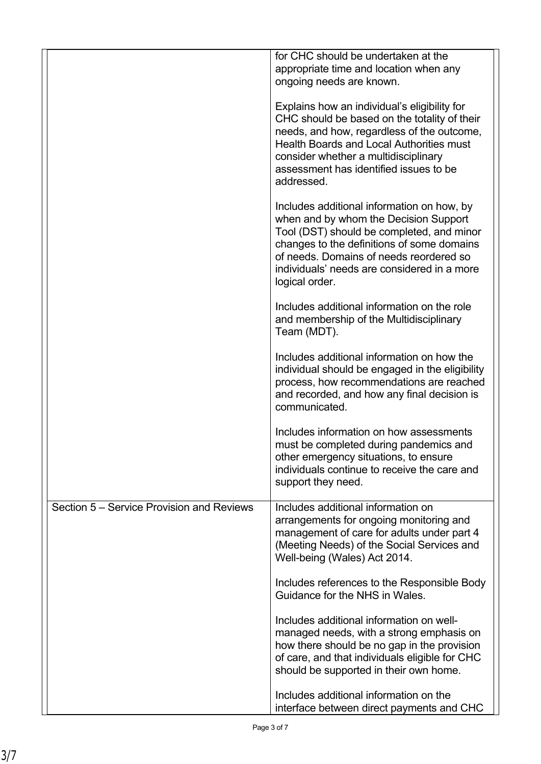|                                           | for CHC should be undertaken at the<br>appropriate time and location when any<br>ongoing needs are known.                                                                                                                                                                                     |
|-------------------------------------------|-----------------------------------------------------------------------------------------------------------------------------------------------------------------------------------------------------------------------------------------------------------------------------------------------|
|                                           | Explains how an individual's eligibility for<br>CHC should be based on the totality of their<br>needs, and how, regardless of the outcome,<br><b>Health Boards and Local Authorities must</b><br>consider whether a multidisciplinary<br>assessment has identified issues to be<br>addressed. |
|                                           | Includes additional information on how, by<br>when and by whom the Decision Support<br>Tool (DST) should be completed, and minor<br>changes to the definitions of some domains<br>of needs. Domains of needs reordered so<br>individuals' needs are considered in a more<br>logical order.    |
|                                           | Includes additional information on the role<br>and membership of the Multidisciplinary<br>Team (MDT).                                                                                                                                                                                         |
|                                           | Includes additional information on how the<br>individual should be engaged in the eligibility<br>process, how recommendations are reached<br>and recorded, and how any final decision is<br>communicated.                                                                                     |
|                                           | Includes information on how assessments<br>must be completed during pandemics and<br>other emergency situations, to ensure<br>individuals continue to receive the care and<br>support they need.                                                                                              |
| Section 5 – Service Provision and Reviews | Includes additional information on<br>arrangements for ongoing monitoring and<br>management of care for adults under part 4<br>(Meeting Needs) of the Social Services and<br>Well-being (Wales) Act 2014.                                                                                     |
|                                           | Includes references to the Responsible Body<br>Guidance for the NHS in Wales.                                                                                                                                                                                                                 |
|                                           | Includes additional information on well-<br>managed needs, with a strong emphasis on<br>how there should be no gap in the provision<br>of care, and that individuals eligible for CHC<br>should be supported in their own home.                                                               |
|                                           | Includes additional information on the<br>interface between direct payments and CHC                                                                                                                                                                                                           |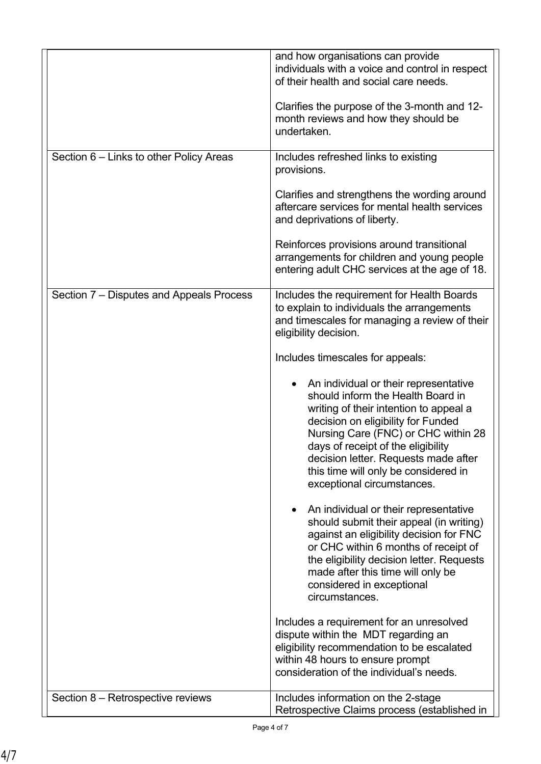|                                          | and how organisations can provide<br>individuals with a voice and control in respect<br>of their health and social care needs.                                                                                                                                                                                                                        |
|------------------------------------------|-------------------------------------------------------------------------------------------------------------------------------------------------------------------------------------------------------------------------------------------------------------------------------------------------------------------------------------------------------|
|                                          | Clarifies the purpose of the 3-month and 12-<br>month reviews and how they should be<br>undertaken.                                                                                                                                                                                                                                                   |
| Section 6 – Links to other Policy Areas  | Includes refreshed links to existing<br>provisions.                                                                                                                                                                                                                                                                                                   |
|                                          | Clarifies and strengthens the wording around<br>aftercare services for mental health services<br>and deprivations of liberty.                                                                                                                                                                                                                         |
|                                          | Reinforces provisions around transitional<br>arrangements for children and young people<br>entering adult CHC services at the age of 18.                                                                                                                                                                                                              |
| Section 7 – Disputes and Appeals Process | Includes the requirement for Health Boards<br>to explain to individuals the arrangements<br>and timescales for managing a review of their<br>eligibility decision.                                                                                                                                                                                    |
|                                          | Includes timescales for appeals:                                                                                                                                                                                                                                                                                                                      |
|                                          | An individual or their representative<br>should inform the Health Board in<br>writing of their intention to appeal a<br>decision on eligibility for Funded<br>Nursing Care (FNC) or CHC within 28<br>days of receipt of the eligibility<br>decision letter. Requests made after<br>this time will only be considered in<br>exceptional circumstances. |
|                                          | An individual or their representative<br>should submit their appeal (in writing)<br>against an eligibility decision for FNC<br>or CHC within 6 months of receipt of<br>the eligibility decision letter. Requests<br>made after this time will only be<br>considered in exceptional<br>circumstances.                                                  |
|                                          | Includes a requirement for an unresolved<br>dispute within the MDT regarding an<br>eligibility recommendation to be escalated<br>within 48 hours to ensure prompt                                                                                                                                                                                     |
|                                          | consideration of the individual's needs.                                                                                                                                                                                                                                                                                                              |
| Section 8 - Retrospective reviews        | Includes information on the 2-stage<br>Retrospective Claims process (established in                                                                                                                                                                                                                                                                   |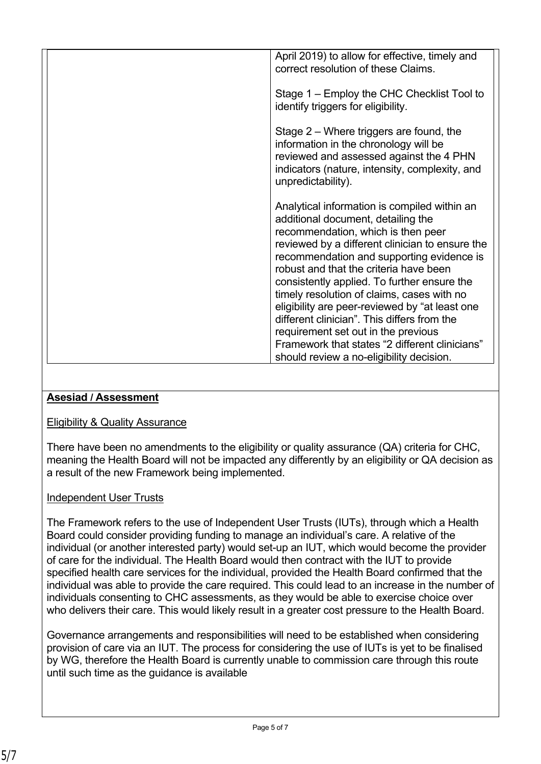| April 2019) to allow for effective, timely and<br>correct resolution of these Claims.                                                                                                                                                                                                                                                                                                                                                                                                                                                                     |
|-----------------------------------------------------------------------------------------------------------------------------------------------------------------------------------------------------------------------------------------------------------------------------------------------------------------------------------------------------------------------------------------------------------------------------------------------------------------------------------------------------------------------------------------------------------|
| Stage 1 – Employ the CHC Checklist Tool to<br>identify triggers for eligibility.                                                                                                                                                                                                                                                                                                                                                                                                                                                                          |
| Stage 2 - Where triggers are found, the<br>information in the chronology will be<br>reviewed and assessed against the 4 PHN<br>indicators (nature, intensity, complexity, and<br>unpredictability).                                                                                                                                                                                                                                                                                                                                                       |
| Analytical information is compiled within an<br>additional document, detailing the<br>recommendation, which is then peer<br>reviewed by a different clinician to ensure the<br>recommendation and supporting evidence is<br>robust and that the criteria have been<br>consistently applied. To further ensure the<br>timely resolution of claims, cases with no<br>eligibility are peer-reviewed by "at least one<br>different clinician". This differs from the<br>requirement set out in the previous<br>Framework that states "2 different clinicians" |
| should review a no-eligibility decision.                                                                                                                                                                                                                                                                                                                                                                                                                                                                                                                  |

# **Asesiad / Assessment**

### Eligibility & Quality Assurance

There have been no amendments to the eligibility or quality assurance (QA) criteria for CHC, meaning the Health Board will not be impacted any differently by an eligibility or QA decision as a result of the new Framework being implemented.

# Independent User Trusts

The Framework refers to the use of Independent User Trusts (IUTs), through which a Health Board could consider providing funding to manage an individual's care. A relative of the individual (or another interested party) would set-up an IUT, which would become the provider of care for the individual. The Health Board would then contract with the IUT to provide specified health care services for the individual, provided the Health Board confirmed that the individual was able to provide the care required. This could lead to an increase in the number of individuals consenting to CHC assessments, as they would be able to exercise choice over who delivers their care. This would likely result in a greater cost pressure to the Health Board.

Governance arrangements and responsibilities will need to be established when considering provision of care via an IUT. The process for considering the use of IUTs is yet to be finalised by WG, therefore the Health Board is currently unable to commission care through this route until such time as the guidance is available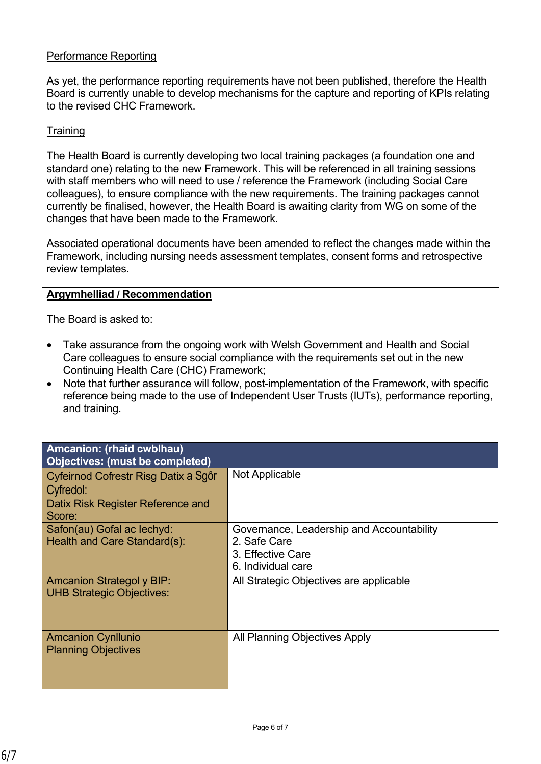#### Performance Reporting

As yet, the performance reporting requirements have not been published, therefore the Health Board is currently unable to develop mechanisms for the capture and reporting of KPIs relating to the revised CHC Framework.

#### **Training**

The Health Board is currently developing two local training packages (a foundation one and standard one) relating to the new Framework. This will be referenced in all training sessions with staff members who will need to use / reference the Framework (including Social Care colleagues), to ensure compliance with the new requirements. The training packages cannot currently be finalised, however, the Health Board is awaiting clarity from WG on some of the changes that have been made to the Framework.

Associated operational documents have been amended to reflect the changes made within the Framework, including nursing needs assessment templates, consent forms and retrospective review templates.

#### **Argymhelliad / Recommendation**

The Board is asked to:

- Take assurance from the ongoing work with Welsh Government and Health and Social Care colleagues to ensure social compliance with the requirements set out in the new Continuing Health Care (CHC) Framework;
- Note that further assurance will follow, post-implementation of the Framework, with specific reference being made to the use of Independent User Trusts (IUTs), performance reporting, and training.

| Amcanion: (rhaid cwblhau)<br><b>Objectives: (must be completed)</b>  |                                           |
|----------------------------------------------------------------------|-------------------------------------------|
| Cyfeirnod Cofrestr Risg Datix a Sqôr                                 | Not Applicable                            |
| Cyfredol:                                                            |                                           |
| Datix Risk Register Reference and<br>Score:                          |                                           |
| Safon(au) Gofal ac lechyd:                                           | Governance, Leadership and Accountability |
| Health and Care Standard(s):                                         | 2. Safe Care                              |
|                                                                      | 3. Effective Care                         |
|                                                                      | 6. Individual care                        |
| <b>Amcanion Strategol y BIP:</b><br><b>UHB Strategic Objectives:</b> | All Strategic Objectives are applicable   |
| <b>Amcanion Cynllunio</b><br><b>Planning Objectives</b>              | All Planning Objectives Apply             |